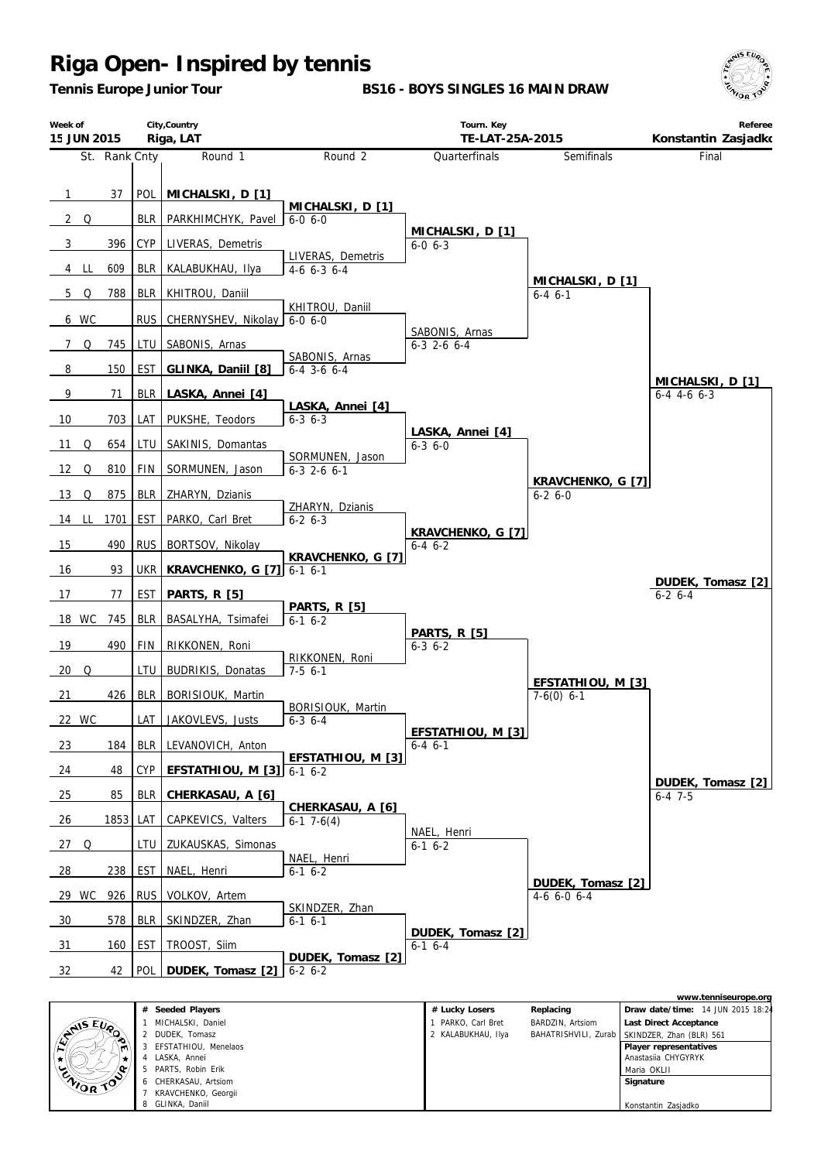*Tennis Europe Junior Tour*

**BS16 - BOYS SINGLES 16 MAIN DRAW**





|                            | Seeded Players<br>#  | # Lucky Losers     | Replacing        | Draw date/time: 14 JUN 2015 18:2                |
|----------------------------|----------------------|--------------------|------------------|-------------------------------------------------|
|                            | MICHALSKI, Daniel    | PARKO, Carl Bret   | BARDZIN, Artsiom | Last Direct Acceptance                          |
| <b>ANSEUP</b><br>$\bullet$ | 2 DUDEK, Tomasz      | 2 KALABUKHAU, Ilya |                  | BAHATRISHVILI, Zurab   SKINDZER, Zhan (BLR) 561 |
| m                          | EFSTATHIOU, Menelaos |                    |                  | Player representatives                          |
|                            | LASKA, Annei         |                    |                  | Anastasija CHYGYRYK                             |
| <b>ENIOR TOO</b>           | 5 PARTS, Robin Erik  |                    |                  | Maria OKLII                                     |
|                            | 6 CHERKASAU, Artsiom |                    |                  | Signature                                       |
|                            | KRAVCHENKO, Georgii  |                    |                  |                                                 |
|                            | 8 GLINKA, Daniil     |                    |                  | Konstantin Zasjadko                             |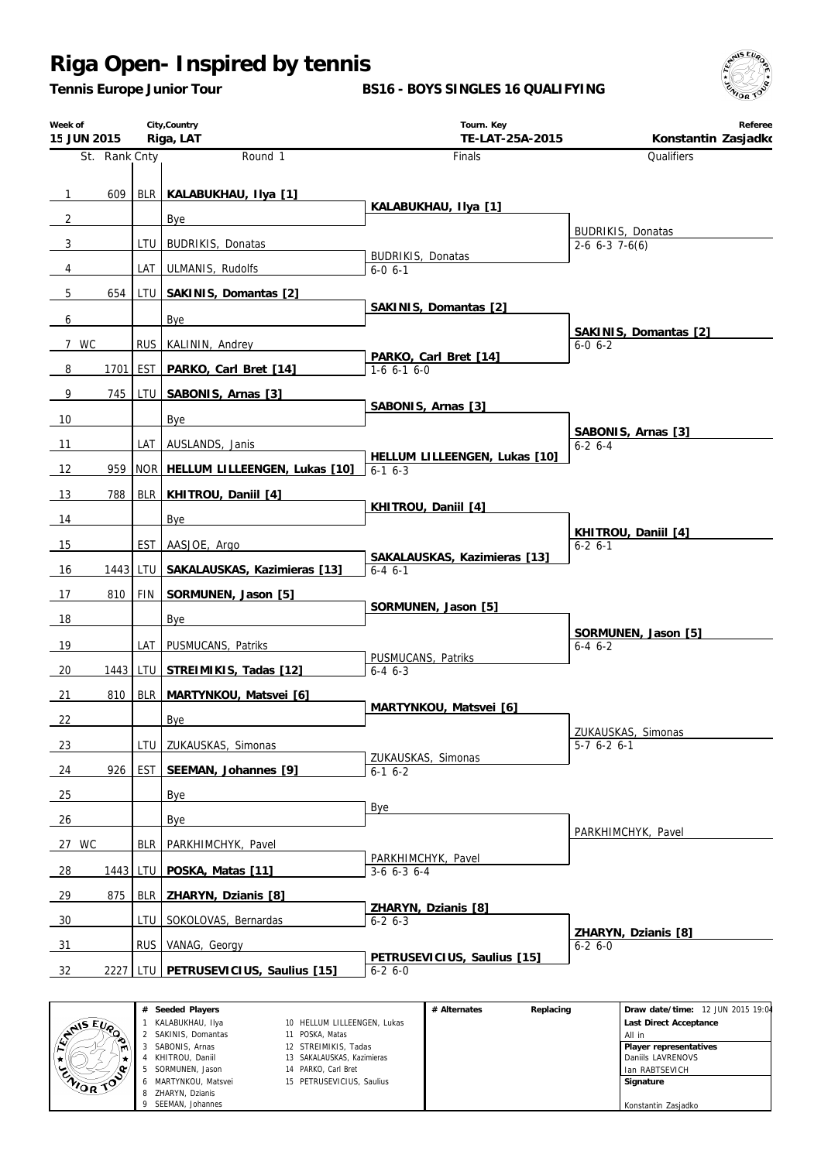*Tennis Europe Junior Tour*

**BS16 - BOYS SINGLES 16 QUALIFYING**



| Week of<br>15 JUN 2015 |               |       | City, Country<br>Riga, LAT              | Tourn. Key<br>TE-LAT-25A-2015                | Referee<br>Konstantin Zasjadko      |
|------------------------|---------------|-------|-----------------------------------------|----------------------------------------------|-------------------------------------|
|                        | St. Rank Cnty |       | Round 1                                 | Finals                                       | Qualifiers                          |
|                        | 609           |       |                                         |                                              |                                     |
| $\mathbf{1}$           |               |       | BLR KALABUKHAU, IIya [1]                | KALABUKHAU, IIya [1]                         |                                     |
| $\overline{2}$         |               |       | Bye                                     |                                              | <b>BUDRIKIS, Donatas</b>            |
| 3                      |               |       | LTU   BUDRIKIS, Donatas                 | <b>BUDRIKIS, Donatas</b>                     | $2-6$ 6-3 7-6(6)                    |
| 4                      |               | LAT I | <b>ULMANIS, Rudolfs</b>                 | $6 - 0 6 - 1$                                |                                     |
| 5                      | 654           |       | LTU SAKINIS, Domantas [2]               | SAKINIS, Domantas [2]                        |                                     |
| 6                      |               |       | Bye                                     |                                              | SAKINIS, Domantas [2]               |
| 7 WC                   |               |       | RUS   KALININ, Andrey                   |                                              | $6 - 0 6 - 2$                       |
| 8                      | 1701 EST      |       | PARKO, Carl Bret [14]                   | PARKO, Carl Bret [14]<br>$1-6$ 6-1 6-0       |                                     |
| 9                      | 745           |       | LTU   SABONIS, Arnas [3]                |                                              |                                     |
| 10                     |               |       | Bye                                     | SABONIS, Arnas [3]                           |                                     |
| 11                     |               |       | LAT   AUSLANDS, Janis                   |                                              | SABONIS, Arnas [3]<br>$6 - 2 6 - 4$ |
| 12                     | 959           |       | NOR   HELLUM LILLEENGEN, Lukas [10]     | HELLUM LILLEENGEN, Lukas [10]<br>$6-1$ $6-3$ |                                     |
| 13                     | 788           | BLR   |                                         |                                              |                                     |
|                        |               |       | KHITROU, Daniil [4]                     | KHITROU, Daniil [4]                          |                                     |
| 14                     |               |       | Bye                                     |                                              | KHITROU, Daniil [4]                 |
| 15                     |               | EST   | AASJOE, Argo                            | SAKALAUSKAS, Kazimieras [13]                 | $6 - 2 6 - 1$                       |
| 16                     |               |       | 1443 LTU   SAKALAUSKAS, Kazimieras [13] | $6 - 4 6 - 1$                                |                                     |
| 17                     | 810           | FIN   | SORMUNEN, Jason [5]                     | SORMUNEN, Jason [5]                          |                                     |
| 18                     |               |       | Bye                                     |                                              | SORMUNEN, Jason [5]                 |
| 19                     |               | LAT   | PUSMUCANS, Patriks                      | PUSMUCANS, Patriks                           | $6 - 4 6 - 2$                       |
| 20                     | 1443          |       | LTU STREIMIKIS, Tadas [12]              | $6-4$ $6-3$                                  |                                     |
| 21                     | 810           |       | BLR   MARTYNKOU, Matsvei [6]            |                                              |                                     |
| 22                     |               |       | Bye                                     | MARTYNKOU, Matsvei [6]                       |                                     |
| 23                     |               |       | LTU   ZUKAUSKAS, Simonas                |                                              | ZUKAUSKAS, Simonas<br>$5-7$ 6-2 6-1 |
| 24                     | 926           | EST   | SEEMAN, Johannes [9]                    | ZUKAUSKAS, Simonas<br>$6-16-2$               |                                     |
| 25                     |               |       | Bye                                     |                                              |                                     |
| 26                     |               |       | Bye                                     | Bye                                          |                                     |
|                        |               |       |                                         |                                              | PARKHIMCHYK, Pavel                  |
| 27 WC                  |               | BLR   | PARKHIMCHYK, Pavel                      | PARKHIMCHYK, Pavel                           |                                     |
| 28                     | 1443          | LTU   | POSKA, Matas [11]                       | $3-6$ 6-3 6-4                                |                                     |
| 29                     | 875           | BLR   | ZHARYN, Dzianis [8]                     | ZHARYN, Dzianis [8]                          |                                     |
| 30                     |               | LTU   | SOKOLOVAS, Bernardas                    | $6 - 26 - 3$                                 | ZHARYN, Dzianis [8]                 |
| 31                     |               | RUS I | VANAG, Georgy                           | PETRUSEVICIUS, Saulius [15]                  | $6 - 26 - 0$                        |
| 32                     |               |       | 2227 LTU PETRUSEVICIUS, Saulius [15]    | $6 - 26 - 0$                                 |                                     |

|                | Seeded Players     |                             | # Alternates | Replacing | Draw date/time: 12 JUN 2015 19:04 |
|----------------|--------------------|-----------------------------|--------------|-----------|-----------------------------------|
| <b>AIS EVA</b> | KALABUKHAU, Ilya   | 10 HELLUM LILLEENGEN, Lukas |              |           | Last Direct Acceptance            |
| ∾              | SAKINIS, Domantas  | 11 POSKA, Matas             |              |           | All in                            |
|                | SABONIS, Arnas     | 12 STREIMIKIS, Tadas        |              |           | Player representatives            |
|                | KHITROU, Daniil    | 13 SAKALAUSKAS, Kazimieras  |              |           | Daniils LAVRENOVS                 |
| ۰              | SORMUNEN, Jason    | 14 PARKO, Carl Bret         |              |           | Ian RABTSEVICH                    |
| ENIOR TOP      | MARTYNKOU. Matsvei | 15 PETRUSEVICIUS, Saulius   |              |           | Signature                         |
|                | ZHARYN, Dzianis    |                             |              |           |                                   |
|                | SEEMAN, Johannes   |                             |              |           | Konstantin Zasjadko               |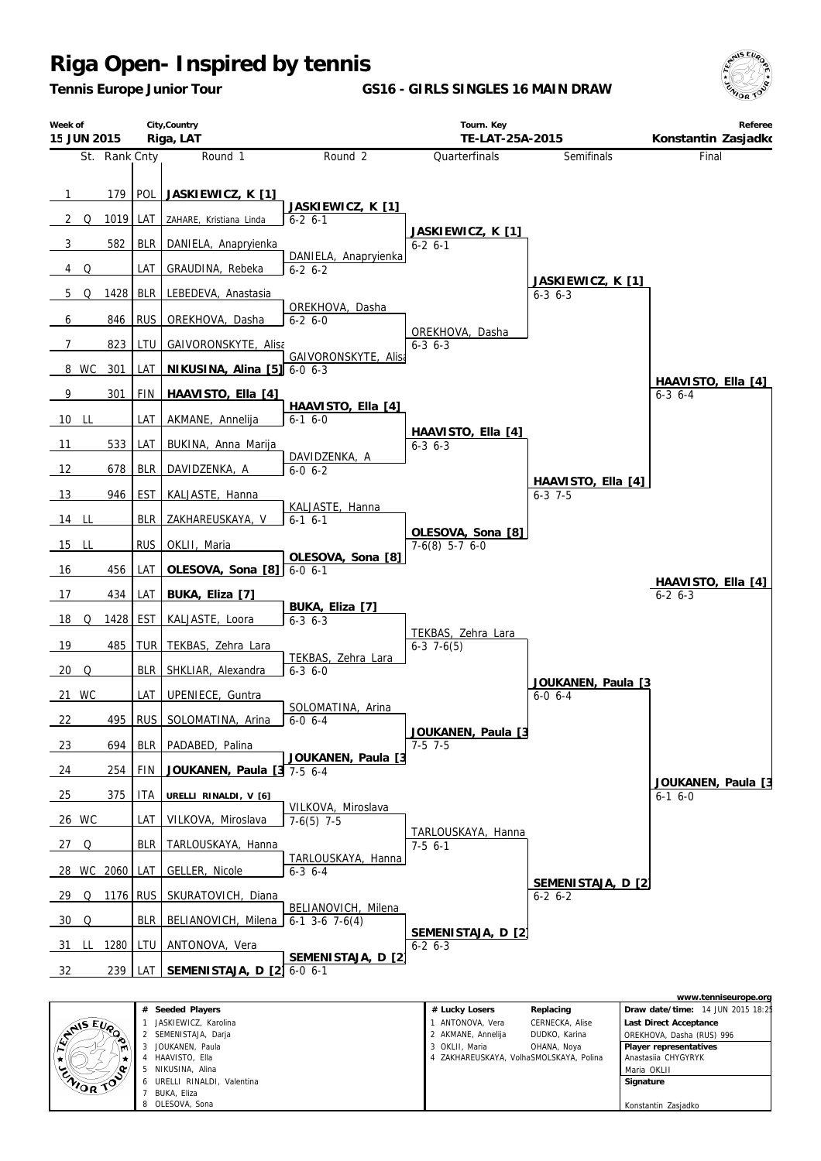JOUKANEN, Paula HAAVISTO, Ella NIKUSINA, Alina URELLI RINALDI, Valentina

7 BUKA, Eliza OLESOVA, Sona

 $\star$ 

CAIDR TO

۵.

*Tennis Europe Junior Tour*

**GS16 - GIRLS SINGLES 16 MAIN DRAW**





3 OKLII, Maria OHANA, Noya 4 ZAKHAREUSKAYA, VolhaSMOLSKAYA, Polina

 **Player representatives** Anastasiia CHYGYRYK Maria OKLII  **Signature**

Konstantin Zasjadko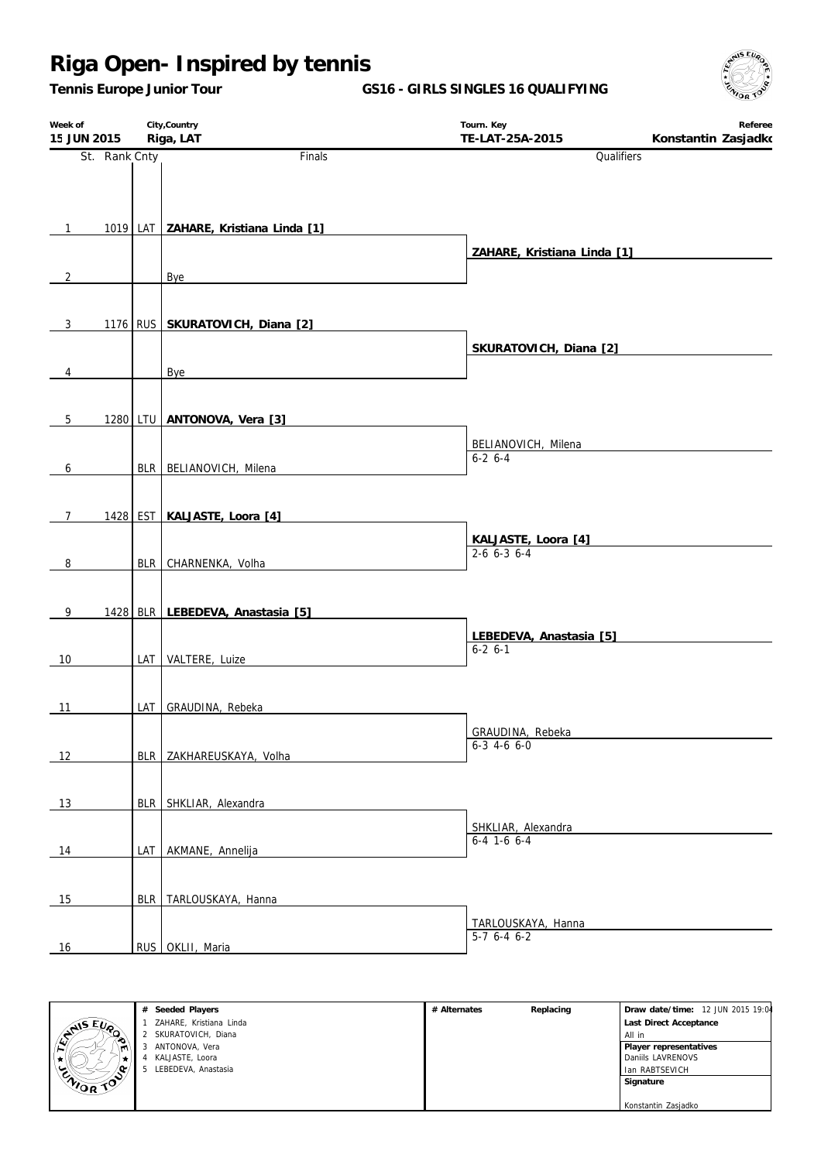*Tennis Europe Junior Tour*

**GS16 - GIRLS SINGLES 16 QUALIFYING**

| Week of<br>15 JUN 2015 |               | City, Country<br>Riga, LAT           | Tourn. Key<br>TE-LAT-25A-2015          | Referee<br>Konstantin Zasjadko |
|------------------------|---------------|--------------------------------------|----------------------------------------|--------------------------------|
|                        | St. Rank Cnty | Finals                               | Qualifiers                             |                                |
|                        |               |                                      |                                        |                                |
|                        |               |                                      |                                        |                                |
| $\mathbf{1}$           |               | 1019 LAT ZAHARE, Kristiana Linda [1] |                                        |                                |
|                        |               |                                      | ZAHARE, Kristiana Linda [1]            |                                |
| $\overline{2}$         |               | Bye                                  |                                        |                                |
|                        |               |                                      |                                        |                                |
| $\mathbf{3}$           |               | 1176 RUS SKURATOVICH, Diana [2]      |                                        |                                |
|                        |               |                                      | SKURATOVICH, Diana [2]                 |                                |
| $\overline{4}$         |               | Bye                                  |                                        |                                |
|                        |               |                                      |                                        |                                |
| 5 <sup>5</sup>         |               | 1280 LTU ANTONOVA, Vera [3]          |                                        |                                |
|                        |               |                                      | BELIANOVICH, Milena                    |                                |
| 6                      |               | BLR BELIANOVICH, Milena              | $6-2$ 6-4                              |                                |
|                        |               |                                      |                                        |                                |
|                        |               |                                      |                                        |                                |
| $\overline{7}$         |               | 1428 EST KALJASTE, Loora [4]         |                                        |                                |
|                        |               |                                      | KALJASTE, Loora [4]<br>$2-6$ 6-3 6-4   |                                |
| 8                      |               | BLR CHARNENKA, Volha                 |                                        |                                |
|                        |               |                                      |                                        |                                |
| 9                      |               | 1428 BLR LEBEDEVA, Anastasia [5]     |                                        |                                |
|                        |               |                                      | LEBEDEVA, Anastasia [5]<br>$6-2$ $6-1$ |                                |
| 10                     |               | LAT VALTERE, Luize                   |                                        |                                |
|                        |               |                                      |                                        |                                |
| 11                     |               | LAT   GRAUDINA, Rebeka               |                                        |                                |
|                        |               |                                      | GRAUDINA, Rebeka<br>$6-3$ 4-6 6-0      |                                |
| 12                     |               | BLR ZAKHAREUSKAYA, Volha             |                                        |                                |
|                        |               |                                      |                                        |                                |
| 13                     |               | BLR SHKLIAR, Alexandra               |                                        |                                |
|                        |               |                                      | SHKLIAR, Alexandra                     |                                |
| 14                     |               | LAT AKMANE, Annelija                 | $6-4$ 1-6 6-4                          |                                |
|                        |               |                                      |                                        |                                |
| 15                     |               | BLR TARLOUSKAYA, Hanna               |                                        |                                |
|                        |               |                                      | TARLOUSKAYA, Hanna                     |                                |
| 16                     |               | RUS OKLII, Maria                     | $5-7$ 6-4 6-2                          |                                |



| # Alternates | Replacing | Draw date/time: 12 JUN 2015 19:04 |  |
|--------------|-----------|-----------------------------------|--|
|              |           | Last Direct Acceptance            |  |
|              |           | All in                            |  |
|              |           | Player representatives            |  |
|              |           | Daniils LAVRENOVS                 |  |
|              |           | Ian RABTSEVICH                    |  |
|              |           | Signature                         |  |
|              |           |                                   |  |
|              |           | Konstantin Zasjadko               |  |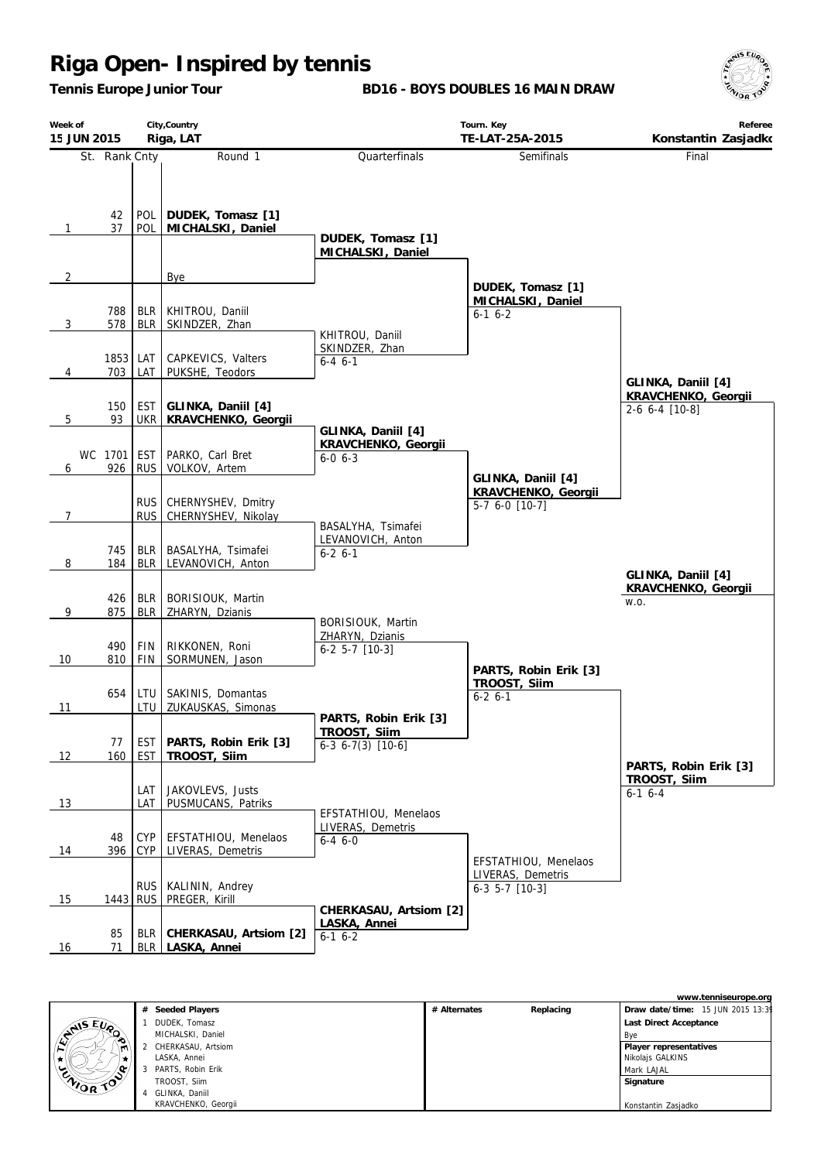*Tennis Europe Junior Tour*

**BD16 - BOYS DOUBLES 16 MAIN DRAW**



| Week of<br>15 JUN 2015 |                |                          | City, Country<br>Riga, LAT                         |                                                                  | Tourn. Key<br>TE-LAT-25A-2015                                   | Referee<br>Konstantin Zasjadko            |
|------------------------|----------------|--------------------------|----------------------------------------------------|------------------------------------------------------------------|-----------------------------------------------------------------|-------------------------------------------|
|                        | St. Rank Cnty  |                          | Round 1                                            | Quarterfinals                                                    | Semifinals                                                      | Final                                     |
| $\mathbf{1}$           | 42<br>37       | <b>POL</b><br>POL        | DUDEK, Tomasz [1]<br>MICHALSKI, Daniel             | DUDEK, Tomasz [1]<br>MICHALSKI, Daniel                           |                                                                 |                                           |
| $\overline{2}$         |                |                          | Bye                                                |                                                                  | DUDEK, Tomasz [1]                                               |                                           |
| 3                      | 788<br>578     | <b>BLR</b><br><b>BLR</b> | KHITROU, Daniil<br>SKINDZER, Zhan                  | KHITROU, Daniil                                                  | MICHALSKI, Daniel<br>$6-1$ $6-2$                                |                                           |
| 4                      | 1853<br>703    | LAT<br>LAT               | CAPKEVICS, Valters<br>PUKSHE, Teodors              | SKINDZER, Zhan<br>$6 - 4 \cdot 6 - 1$                            |                                                                 | GLINKA, Daniil [4]                        |
| 5                      | 150<br>93      | EST<br><b>UKR</b>        | GLINKA, Daniil [4]<br>KRAVCHENKO, Georgii          |                                                                  |                                                                 | KRAVCHENKO, Georgii<br>$2-6$ 6-4 $[10-8]$ |
| 6                      | WC 1701<br>926 | <b>EST</b><br><b>RUS</b> | PARKO, Carl Bret<br>VOLKOV, Artem                  | GLINKA, Daniil [4]<br>KRAVCHENKO, Georgii<br>$6 - 0, 6 - 3$      | GLINKA, Daniil [4]                                              |                                           |
| $\overline{7}$         |                | <b>RUS</b><br><b>RUS</b> | CHERNYSHEV, Dmitry<br>CHERNYSHEV, Nikolay          | BASALYHA, Tsimafei                                               | KRAVCHENKO, Georgii<br>$5-7$ 6-0 $[10-7]$                       |                                           |
| 8                      | 745<br>184     | <b>BLR</b><br><b>BLR</b> | BASALYHA, Tsimafei<br>LEVANOVICH, Anton            | LEVANOVICH, Anton<br>$6 - 2 6 - 1$                               |                                                                 | GLINKA, Daniil [4]                        |
| 9                      | 426<br>875     | <b>BLR</b><br><b>BLR</b> | BORISIOUK, Martin<br>ZHARYN, Dzianis               |                                                                  |                                                                 | KRAVCHENKO, Georgii<br>W.O.               |
| 10                     | 490<br>810     | <b>FIN</b><br>FIN        | RIKKONEN, Roni<br>SORMUNEN, Jason                  | BORISIOUK, Martin<br>ZHARYN, Dzianis<br>$6-2$ 5-7 [10-3]         | PARTS, Robin Erik [3]                                           |                                           |
| 11                     | 654            | LTU<br>LTU               | SAKINIS, Domantas<br>ZUKAUSKAS, Simonas            |                                                                  | TROOST, Siim<br>$6 - 2 6 - 1$                                   |                                           |
| 12                     | 77<br>160      | EST<br>EST               | PARTS, Robin Erik [3]<br>TROOST, Siim              | PARTS, Robin Erik [3]<br>TROOST, Siim<br>$6-3$ $6-7(3)$ $[10-6]$ |                                                                 | PARTS, Robin Erik [3]                     |
| 13                     |                | LAT<br>LAT               | JAKOVLEVS, Justs<br>PUSMUCANS, Patriks             | EFSTATHIOU, Menelaos                                             |                                                                 | TROOST, Siim<br>$6-1$ 6-4                 |
| 14                     | 48<br>396      | <b>CYP</b><br><b>CYP</b> | EFSTATHIOU, Menelaos<br>LIVERAS, Demetris          | LIVERAS, Demetris<br>$6-4$ 6-0                                   |                                                                 |                                           |
| 15                     | 1443           | <b>RUS</b><br><b>RUS</b> | KALININ, Andrey<br>PREGER, Kirill                  |                                                                  | EFSTATHIOU, Menelaos<br>LIVERAS, Demetris<br>$6-3$ 5-7 $[10-3]$ |                                           |
| 16                     | 85<br>71       |                          | BLR   CHERKASAU, Artsiom [2]<br>BLR   LASKA, Annei | CHERKASAU, Artsiom [2]<br>LASKA, Annei<br>$6-1$ $6-2$            |                                                                 |                                           |



|               | # Seeded Players    |
|---------------|---------------------|
|               | 1 DUDEK, Tomasz     |
|               | MICHALSKI, Daniel   |
| $\mathcal{P}$ | CHERKASAU, Artsiom  |
|               | LASKA, Annei        |
|               | 3 PARTS, Robin Erik |
|               | TROOST, Silm        |
|               | 4 GLINKA, Daniil    |
|               |                     |

KRAVCHENKO, Georgii

|              |           | www.tenniseurope.org              |  |  |
|--------------|-----------|-----------------------------------|--|--|
| # Alternates | Replacing | Draw date/time: 15 JUN 2015 13:39 |  |  |
|              |           | Last Direct Acceptance            |  |  |
|              |           | Bye                               |  |  |
|              |           | Player representatives            |  |  |
|              |           | Nikolajs GALKINS                  |  |  |
|              |           | Mark LAJAL                        |  |  |
|              |           | Signature                         |  |  |
|              |           |                                   |  |  |
|              |           | Konstantin Zasjadko               |  |  |